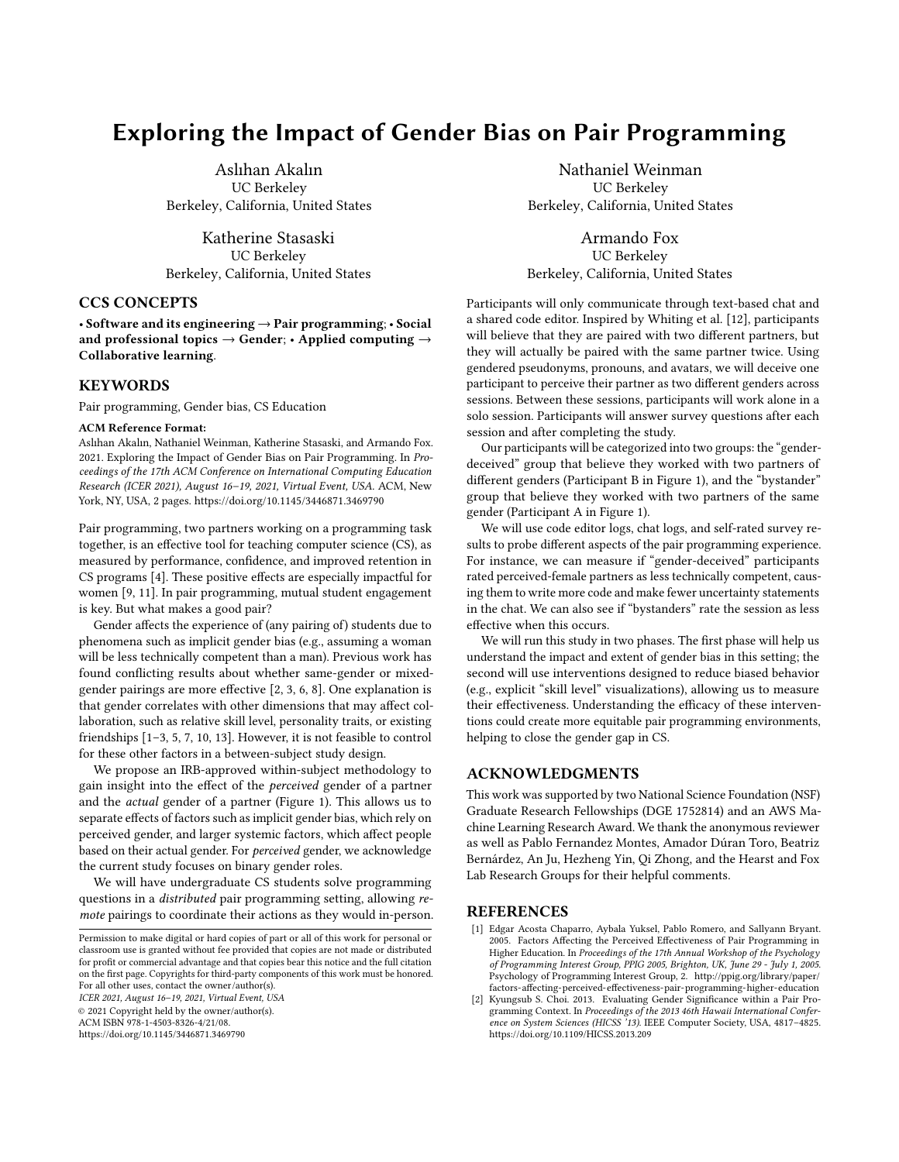# Exploring the Impact of Gender Bias on Pair Programming

Aslıhan Akalın UC Berkeley Berkeley, California, United States

Katherine Stasaski UC Berkeley Berkeley, California, United States

## CCS CONCEPTS

• Software and its engineering → Pair programming; • Social and professional topics  $\rightarrow$  Gender; • Applied computing  $\rightarrow$ Collaborative learning.

## **KEYWORDS**

Pair programming, Gender bias, CS Education

#### ACM Reference Format:

Aslıhan Akalın, Nathaniel Weinman, Katherine Stasaski, and Armando Fox. 2021. Exploring the Impact of Gender Bias on Pair Programming. In Proceedings of the 17th ACM Conference on International Computing Education Research (ICER 2021), August 16–19, 2021, Virtual Event, USA. ACM, New York, NY, USA, [2](#page-1-0) pages.<https://doi.org/10.1145/3446871.3469790>

Pair programming, two partners working on a programming task together, is an effective tool for teaching computer science (CS), as measured by performance, confidence, and improved retention in CS programs [\[4\]](#page-1-1). These positive effects are especially impactful for women [\[9,](#page-1-2) [11\]](#page-1-3). In pair programming, mutual student engagement is key. But what makes a good pair?

Gender affects the experience of (any pairing of) students due to phenomena such as implicit gender bias (e.g., assuming a woman will be less technically competent than a man). Previous work has found conflicting results about whether same-gender or mixedgender pairings are more effective [\[2,](#page-0-0) [3,](#page-1-4) [6,](#page-1-5) [8\]](#page-1-6). One explanation is that gender correlates with other dimensions that may affect collaboration, such as relative skill level, personality traits, or existing friendships [\[1–](#page-0-1)[3,](#page-1-4) [5,](#page-1-7) [7,](#page-1-8) [10,](#page-1-9) [13\]](#page-1-10). However, it is not feasible to control for these other factors in a between-subject study design.

We propose an IRB-approved within-subject methodology to gain insight into the effect of the perceived gender of a partner and the actual gender of a partner (Figure [1\)](#page-1-11). This allows us to separate effects of factors such as implicit gender bias, which rely on perceived gender, and larger systemic factors, which affect people based on their actual gender. For perceived gender, we acknowledge the current study focuses on binary gender roles.

We will have undergraduate CS students solve programming questions in a distributed pair programming setting, allowing remote pairings to coordinate their actions as they would in-person.

ICER 2021, August 16–19, 2021, Virtual Event, USA

© 2021 Copyright held by the owner/author(s). ACM ISBN 978-1-4503-8326-4/21/08.

<https://doi.org/10.1145/3446871.3469790>

Nathaniel Weinman UC Berkeley Berkeley, California, United States

Armando Fox UC Berkeley Berkeley, California, United States

Participants will only communicate through text-based chat and a shared code editor. Inspired by Whiting et al. [\[12\]](#page-1-12), participants will believe that they are paired with two different partners, but they will actually be paired with the same partner twice. Using gendered pseudonyms, pronouns, and avatars, we will deceive one participant to perceive their partner as two different genders across sessions. Between these sessions, participants will work alone in a solo session. Participants will answer survey questions after each session and after completing the study.

Our participants will be categorized into two groups: the "genderdeceived" group that believe they worked with two partners of different genders (Participant B in Figure [1\)](#page-1-11), and the "bystander" group that believe they worked with two partners of the same gender (Participant A in Figure [1\)](#page-1-11).

We will use code editor logs, chat logs, and self-rated survey results to probe different aspects of the pair programming experience. For instance, we can measure if "gender-deceived" participants rated perceived-female partners as less technically competent, causing them to write more code and make fewer uncertainty statements in the chat. We can also see if "bystanders" rate the session as less effective when this occurs.

We will run this study in two phases. The first phase will help us understand the impact and extent of gender bias in this setting; the second will use interventions designed to reduce biased behavior (e.g., explicit "skill level" visualizations), allowing us to measure their effectiveness. Understanding the efficacy of these interventions could create more equitable pair programming environments, helping to close the gender gap in CS.

## ACKNOWLEDGMENTS

This work was supported by two National Science Foundation (NSF) Graduate Research Fellowships (DGE 1752814) and an AWS Machine Learning Research Award. We thank the anonymous reviewer as well as Pablo Fernandez Montes, Amador Dúran Toro, Beatriz Bernárdez, An Ju, Hezheng Yin, Qi Zhong, and the Hearst and Fox Lab Research Groups for their helpful comments.

### **REFERENCES**

- <span id="page-0-1"></span>[1] Edgar Acosta Chaparro, Aybala Yuksel, Pablo Romero, and Sallyann Bryant. 2005. Factors Affecting the Perceived Effectiveness of Pair Programming in Higher Education. In Proceedings of the 17th Annual Workshop of the Psychology of Programming Interest Group, PPIG 2005, Brighton, UK, June 29 - July 1, 2005. Psychology of Programming Interest Group, 2. [http://ppig.org/library/paper/](http://ppig.org/library/paper/factors-affecting-perceived-effectiveness-pair-programming-higher-education) [factors-affecting-perceived-effectiveness-pair-programming-higher-education](http://ppig.org/library/paper/factors-affecting-perceived-effectiveness-pair-programming-higher-education)
- <span id="page-0-0"></span>[2] Kyungsub S. Choi. 2013. Evaluating Gender Significance within a Pair Programming Context. In Proceedings of the 2013 46th Hawaii International Conference on System Sciences (HICSS '13). IEEE Computer Society, USA, 4817–4825. <https://doi.org/10.1109/HICSS.2013.209>

Permission to make digital or hard copies of part or all of this work for personal or classroom use is granted without fee provided that copies are not made or distributed for profit or commercial advantage and that copies bear this notice and the full citation on the first page. Copyrights for third-party components of this work must be honored. For all other uses, contact the owner/author(s).